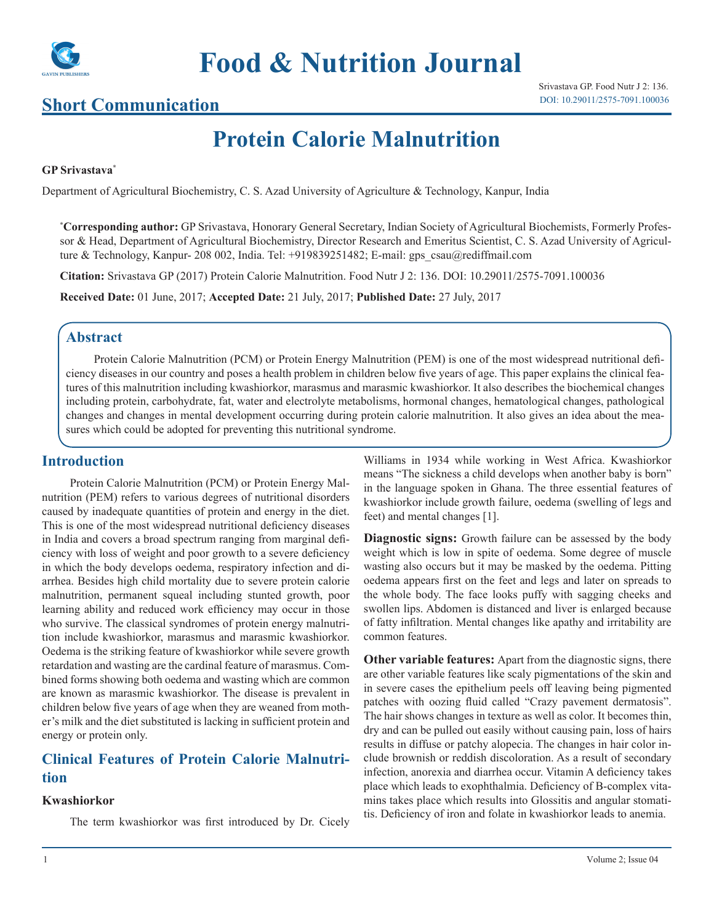

# **Food & Nutrition Journal**

## **Short Communication**

## **Protein Calorie Malnutrition**

#### **GP Srivastava\***

Department of Agricultural Biochemistry, C. S. Azad University of Agriculture & Technology, Kanpur, India

**\* Corresponding author:** GP Srivastava, Honorary General Secretary, Indian Society of Agricultural Biochemists, Formerly Professor & Head, Department of Agricultural Biochemistry, Director Research and Emeritus Scientist, C. S. Azad University of Agriculture & Technology, Kanpur- 208 002, India. Tel: +919839251482; E-mail: gps\_csau@rediffmail.com

**Citation:** Srivastava GP (2017) Protein Calorie Malnutrition. Food Nutr J 2: 136. DOI: 10.29011/2575-7091.100036

**Received Date:** 01 June, 2017; **Accepted Date:** 21 July, 2017; **Published Date:** 27 July, 2017

### **Abstract**

Protein Calorie Malnutrition (PCM) or Protein Energy Malnutrition (PEM) is one of the most widespread nutritional deficiency diseases in our country and poses a health problem in children below five years of age. This paper explains the clinical features of this malnutrition including kwashiorkor, marasmus and marasmic kwashiorkor. It also describes the biochemical changes including protein, carbohydrate, fat, water and electrolyte metabolisms, hormonal changes, hematological changes, pathological changes and changes in mental development occurring during protein calorie malnutrition. It also gives an idea about the measures which could be adopted for preventing this nutritional syndrome.

### **Introduction**

Protein Calorie Malnutrition (PCM) or Protein Energy Malnutrition (PEM) refers to various degrees of nutritional disorders caused by inadequate quantities of protein and energy in the diet. This is one of the most widespread nutritional deficiency diseases in India and covers a broad spectrum ranging from marginal deficiency with loss of weight and poor growth to a severe deficiency in which the body develops oedema, respiratory infection and diarrhea. Besides high child mortality due to severe protein calorie malnutrition, permanent squeal including stunted growth, poor learning ability and reduced work efficiency may occur in those who survive. The classical syndromes of protein energy malnutrition include kwashiorkor, marasmus and marasmic kwashiorkor. Oedema is the striking feature of kwashiorkor while severe growth retardation and wasting are the cardinal feature of marasmus. Combined forms showing both oedema and wasting which are common are known as marasmic kwashiorkor. The disease is prevalent in children below five years of age when they are weaned from mother's milk and the diet substituted is lacking in sufficient protein and energy or protein only.

## **Clinical Features of Protein Calorie Malnutrition**

#### **Kwashiorkor**

The term kwashiorkor was first introduced by Dr. Cicely

Williams in 1934 while working in West Africa. Kwashiorkor means "The sickness a child develops when another baby is born" in the language spoken in Ghana. The three essential features of kwashiorkor include growth failure, oedema (swelling of legs and feet) and mental changes [1].

**Diagnostic signs:** Growth failure can be assessed by the body weight which is low in spite of oedema. Some degree of muscle wasting also occurs but it may be masked by the oedema. Pitting oedema appears first on the feet and legs and later on spreads to the whole body. The face looks puffy with sagging cheeks and swollen lips. Abdomen is distanced and liver is enlarged because of fatty infiltration. Mental changes like apathy and irritability are common features.

**Other variable features:** Apart from the diagnostic signs, there are other variable features like scaly pigmentations of the skin and in severe cases the epithelium peels off leaving being pigmented patches with oozing fluid called "Crazy pavement dermatosis". The hair shows changes in texture as well as color. It becomes thin, dry and can be pulled out easily without causing pain, loss of hairs results in diffuse or patchy alopecia. The changes in hair color include brownish or reddish discoloration. As a result of secondary infection, anorexia and diarrhea occur. Vitamin A deficiency takes place which leads to exophthalmia. Deficiency of B-complex vitamins takes place which results into Glossitis and angular stomatitis. Deficiency of iron and folate in kwashiorkor leads to anemia.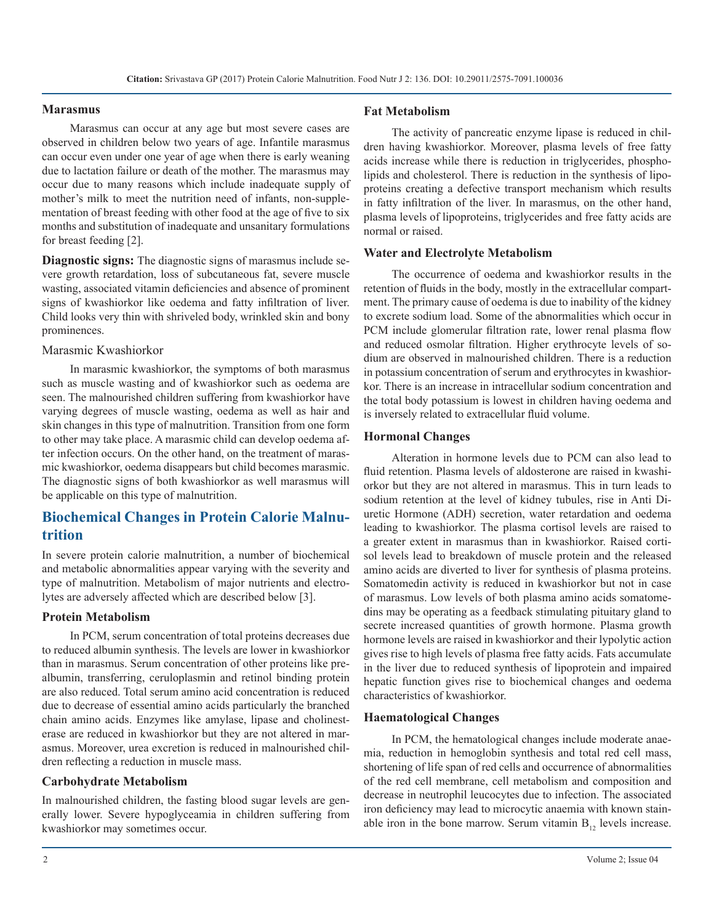#### **Marasmus**

Marasmus can occur at any age but most severe cases are observed in children below two years of age. Infantile marasmus can occur even under one year of age when there is early weaning due to lactation failure or death of the mother. The marasmus may occur due to many reasons which include inadequate supply of mother's milk to meet the nutrition need of infants, non-supplementation of breast feeding with other food at the age of five to six months and substitution of inadequate and unsanitary formulations for breast feeding [2].

**Diagnostic signs:** The diagnostic signs of marasmus include severe growth retardation, loss of subcutaneous fat, severe muscle wasting, associated vitamin deficiencies and absence of prominent signs of kwashiorkor like oedema and fatty infiltration of liver. Child looks very thin with shriveled body, wrinkled skin and bony prominences.

#### Marasmic Kwashiorkor

In marasmic kwashiorkor, the symptoms of both marasmus such as muscle wasting and of kwashiorkor such as oedema are seen. The malnourished children suffering from kwashiorkor have varying degrees of muscle wasting, oedema as well as hair and skin changes in this type of malnutrition. Transition from one form to other may take place. A marasmic child can develop oedema after infection occurs. On the other hand, on the treatment of marasmic kwashiorkor, oedema disappears but child becomes marasmic. The diagnostic signs of both kwashiorkor as well marasmus will be applicable on this type of malnutrition.

## **Biochemical Changes in Protein Calorie Malnutrition**

In severe protein calorie malnutrition, a number of biochemical and metabolic abnormalities appear varying with the severity and type of malnutrition. Metabolism of major nutrients and electrolytes are adversely affected which are described below [3].

#### **Protein Metabolism**

In PCM, serum concentration of total proteins decreases due to reduced albumin synthesis. The levels are lower in kwashiorkor than in marasmus. Serum concentration of other proteins like prealbumin, transferring, ceruloplasmin and retinol binding protein are also reduced. Total serum amino acid concentration is reduced due to decrease of essential amino acids particularly the branched chain amino acids. Enzymes like amylase, lipase and cholinesterase are reduced in kwashiorkor but they are not altered in marasmus. Moreover, urea excretion is reduced in malnourished children reflecting a reduction in muscle mass.

#### **Carbohydrate Metabolism**

In malnourished children, the fasting blood sugar levels are generally lower. Severe hypoglyceamia in children suffering from kwashiorkor may sometimes occur.

#### **Fat Metabolism**

The activity of pancreatic enzyme lipase is reduced in children having kwashiorkor. Moreover, plasma levels of free fatty acids increase while there is reduction in triglycerides, phospholipids and cholesterol. There is reduction in the synthesis of lipoproteins creating a defective transport mechanism which results in fatty infiltration of the liver. In marasmus, on the other hand, plasma levels of lipoproteins, triglycerides and free fatty acids are normal or raised.

#### **Water and Electrolyte Metabolism**

The occurrence of oedema and kwashiorkor results in the retention of fluids in the body, mostly in the extracellular compartment. The primary cause of oedema is due to inability of the kidney to excrete sodium load. Some of the abnormalities which occur in PCM include glomerular filtration rate, lower renal plasma flow and reduced osmolar filtration. Higher erythrocyte levels of sodium are observed in malnourished children. There is a reduction in potassium concentration of serum and erythrocytes in kwashiorkor. There is an increase in intracellular sodium concentration and the total body potassium is lowest in children having oedema and is inversely related to extracellular fluid volume.

#### **Hormonal Changes**

Alteration in hormone levels due to PCM can also lead to fluid retention. Plasma levels of aldosterone are raised in kwashiorkor but they are not altered in marasmus. This in turn leads to sodium retention at the level of kidney tubules, rise in Anti Diuretic Hormone (ADH) secretion, water retardation and oedema leading to kwashiorkor. The plasma cortisol levels are raised to a greater extent in marasmus than in kwashiorkor. Raised cortisol levels lead to breakdown of muscle protein and the released amino acids are diverted to liver for synthesis of plasma proteins. Somatomedin activity is reduced in kwashiorkor but not in case of marasmus. Low levels of both plasma amino acids somatomedins may be operating as a feedback stimulating pituitary gland to secrete increased quantities of growth hormone. Plasma growth hormone levels are raised in kwashiorkor and their lypolytic action gives rise to high levels of plasma free fatty acids. Fats accumulate in the liver due to reduced synthesis of lipoprotein and impaired hepatic function gives rise to biochemical changes and oedema characteristics of kwashiorkor.

#### **Haematological Changes**

In PCM, the hematological changes include moderate anaemia, reduction in hemoglobin synthesis and total red cell mass, shortening of life span of red cells and occurrence of abnormalities of the red cell membrane, cell metabolism and composition and decrease in neutrophil leucocytes due to infection. The associated iron deficiency may lead to microcytic anaemia with known stainable iron in the bone marrow. Serum vitamin  $B_{12}$  levels increase.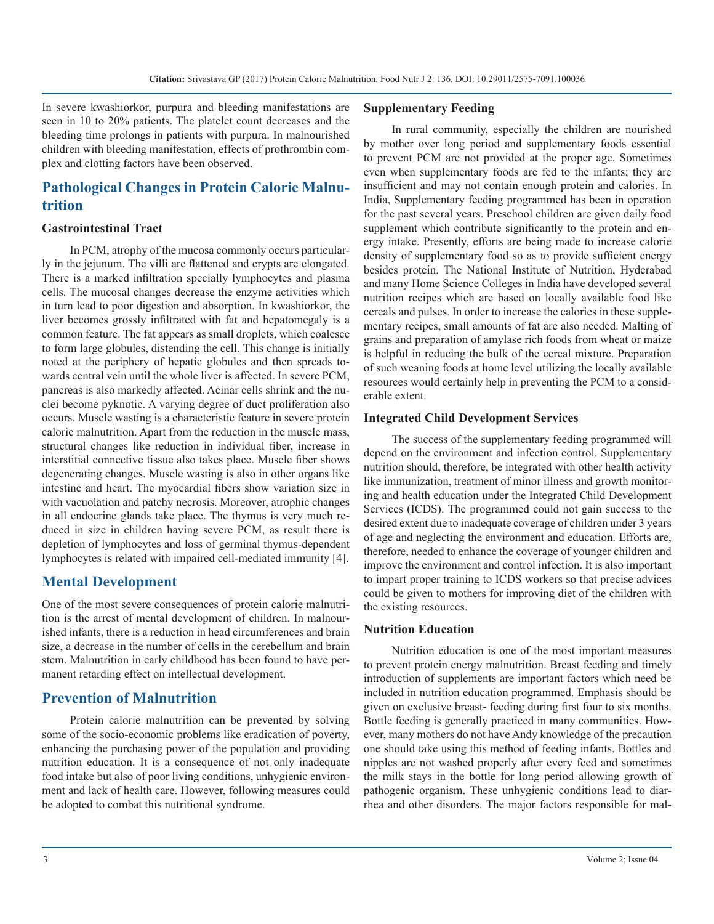In severe kwashiorkor, purpura and bleeding manifestations are seen in 10 to 20% patients. The platelet count decreases and the bleeding time prolongs in patients with purpura. In malnourished children with bleeding manifestation, effects of prothrombin complex and clotting factors have been observed.

## **Pathological Changes in Protein Calorie Malnutrition**

#### **Gastrointestinal Tract**

In PCM, atrophy of the mucosa commonly occurs particularly in the jejunum. The villi are flattened and crypts are elongated. There is a marked infiltration specially lymphocytes and plasma cells. The mucosal changes decrease the enzyme activities which in turn lead to poor digestion and absorption. In kwashiorkor, the liver becomes grossly infiltrated with fat and hepatomegaly is a common feature. The fat appears as small droplets, which coalesce to form large globules, distending the cell. This change is initially noted at the periphery of hepatic globules and then spreads towards central vein until the whole liver is affected. In severe PCM, pancreas is also markedly affected. Acinar cells shrink and the nuclei become pyknotic. A varying degree of duct proliferation also occurs. Muscle wasting is a characteristic feature in severe protein calorie malnutrition. Apart from the reduction in the muscle mass, structural changes like reduction in individual fiber, increase in interstitial connective tissue also takes place. Muscle fiber shows degenerating changes. Muscle wasting is also in other organs like intestine and heart. The myocardial fibers show variation size in with vacuolation and patchy necrosis. Moreover, atrophic changes in all endocrine glands take place. The thymus is very much reduced in size in children having severe PCM, as result there is depletion of lymphocytes and loss of germinal thymus-dependent lymphocytes is related with impaired cell-mediated immunity [4].

## **Mental Development**

One of the most severe consequences of protein calorie malnutrition is the arrest of mental development of children. In malnourished infants, there is a reduction in head circumferences and brain size, a decrease in the number of cells in the cerebellum and brain stem. Malnutrition in early childhood has been found to have permanent retarding effect on intellectual development.

## **Prevention of Malnutrition**

Protein calorie malnutrition can be prevented by solving some of the socio-economic problems like eradication of poverty, enhancing the purchasing power of the population and providing nutrition education. It is a consequence of not only inadequate food intake but also of poor living conditions, unhygienic environment and lack of health care. However, following measures could be adopted to combat this nutritional syndrome.

#### **Supplementary Feeding**

In rural community, especially the children are nourished by mother over long period and supplementary foods essential to prevent PCM are not provided at the proper age. Sometimes even when supplementary foods are fed to the infants; they are insufficient and may not contain enough protein and calories. In India, Supplementary feeding programmed has been in operation for the past several years. Preschool children are given daily food supplement which contribute significantly to the protein and energy intake. Presently, efforts are being made to increase calorie density of supplementary food so as to provide sufficient energy besides protein. The National Institute of Nutrition, Hyderabad and many Home Science Colleges in India have developed several nutrition recipes which are based on locally available food like cereals and pulses. In order to increase the calories in these supplementary recipes, small amounts of fat are also needed. Malting of grains and preparation of amylase rich foods from wheat or maize is helpful in reducing the bulk of the cereal mixture. Preparation of such weaning foods at home level utilizing the locally available resources would certainly help in preventing the PCM to a considerable extent.

#### **Integrated Child Development Services**

The success of the supplementary feeding programmed will depend on the environment and infection control. Supplementary nutrition should, therefore, be integrated with other health activity like immunization, treatment of minor illness and growth monitoring and health education under the Integrated Child Development Services (ICDS). The programmed could not gain success to the desired extent due to inadequate coverage of children under 3 years of age and neglecting the environment and education. Efforts are, therefore, needed to enhance the coverage of younger children and improve the environment and control infection. It is also important to impart proper training to ICDS workers so that precise advices could be given to mothers for improving diet of the children with the existing resources.

#### **Nutrition Education**

Nutrition education is one of the most important measures to prevent protein energy malnutrition. Breast feeding and timely introduction of supplements are important factors which need be included in nutrition education programmed. Emphasis should be given on exclusive breast- feeding during first four to six months. Bottle feeding is generally practiced in many communities. However, many mothers do not have Andy knowledge of the precaution one should take using this method of feeding infants. Bottles and nipples are not washed properly after every feed and sometimes the milk stays in the bottle for long period allowing growth of pathogenic organism. These unhygienic conditions lead to diarrhea and other disorders. The major factors responsible for mal